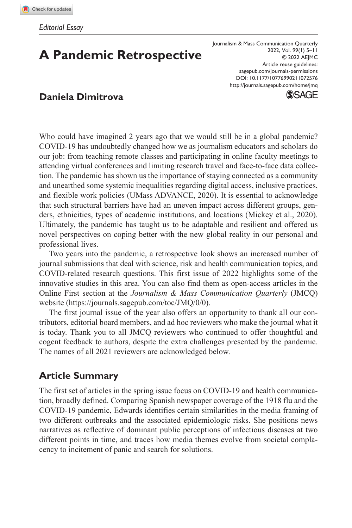## **A Pandemic Retrospective**

DOI: 10.1177/10776990211072576 Journalism & Mass Communication Quarterly 2022, Vol. 99(1) 5–11 © 2022 AEJMC Article reuse guidelines: [sagepub.com/journals-permissions](https://us.sagepub.com/en-us/journals-permissions) <http://journals.sagepub.com/home/jmq>



**SSAGE** 

Who could have imagined 2 years ago that we would still be in a global pandemic? COVID-19 has undoubtedly changed how we as journalism educators and scholars do our job: from teaching remote classes and participating in online faculty meetings to attending virtual conferences and limiting research travel and face-to-face data collection. The pandemic has shown us the importance of staying connected as a community and unearthed some systemic inequalities regarding digital access, inclusive practices, and flexible work policies (UMass ADVANCE, 2020). It is essential to acknowledge that such structural barriers have had an uneven impact across different groups, genders, ethnicities, types of academic institutions, and locations (Mickey et al., 2020). Ultimately, the pandemic has taught us to be adaptable and resilient and offered us novel perspectives on coping better with the new global reality in our personal and professional lives.

Two years into the pandemic, a retrospective look shows an increased number of journal submissions that deal with science, risk and health communication topics, and COVID-related research questions. This first issue of 2022 highlights some of the innovative studies in this area. You can also find them as open-access articles in the Online First section at the *Journalism & Mass Communication Quarterly* (JMCQ) website [\(https://journals.sagepub.com/toc/JMQ/0/0\)](https://journals.sagepub.com/toc/JMQ/0/0).

The first journal issue of the year also offers an opportunity to thank all our contributors, editorial board members, and ad hoc reviewers who make the journal what it is today. Thank you to all JMCQ reviewers who continued to offer thoughtful and cogent feedback to authors, despite the extra challenges presented by the pandemic. The names of all 2021 reviewers are acknowledged below.

## **Article Summary**

The first set of articles in the spring issue focus on COVID-19 and health communication, broadly defined. Comparing Spanish newspaper coverage of the 1918 flu and the COVID-19 pandemic, Edwards identifies certain similarities in the media framing of two different outbreaks and the associated epidemiologic risks. She positions news narratives as reflective of dominant public perceptions of infectious diseases at two different points in time, and traces how media themes evolve from societal complacency to incitement of panic and search for solutions.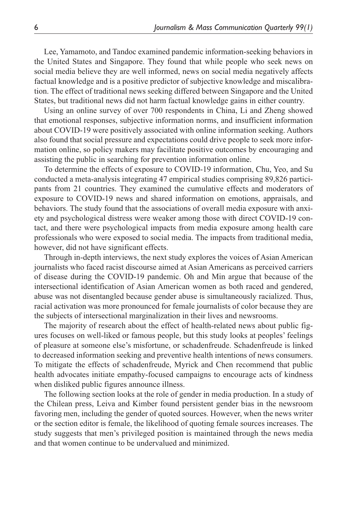Lee, Yamamoto, and Tandoc examined pandemic information-seeking behaviors in the United States and Singapore. They found that while people who seek news on social media believe they are well informed, news on social media negatively affects factual knowledge and is a positive predictor of subjective knowledge and miscalibration. The effect of traditional news seeking differed between Singapore and the United States, but traditional news did not harm factual knowledge gains in either country.

Using an online survey of over 700 respondents in China, Li and Zheng showed that emotional responses, subjective information norms, and insufficient information about COVID-19 were positively associated with online information seeking. Authors also found that social pressure and expectations could drive people to seek more information online, so policy makers may facilitate positive outcomes by encouraging and assisting the public in searching for prevention information online.

To determine the effects of exposure to COVID-19 information, Chu, Yeo, and Su conducted a meta-analysis integrating 47 empirical studies comprising 89,826 participants from 21 countries. They examined the cumulative effects and moderators of exposure to COVID-19 news and shared information on emotions, appraisals, and behaviors. The study found that the associations of overall media exposure with anxiety and psychological distress were weaker among those with direct COVID-19 contact, and there were psychological impacts from media exposure among health care professionals who were exposed to social media. The impacts from traditional media, however, did not have significant effects.

Through in-depth interviews, the next study explores the voices of Asian American journalists who faced racist discourse aimed at Asian Americans as perceived carriers of disease during the COVID-19 pandemic. Oh and Min argue that because of the intersectional identification of Asian American women as both raced and gendered, abuse was not disentangled because gender abuse is simultaneously racialized. Thus, racial activation was more pronounced for female journalists of color because they are the subjects of intersectional marginalization in their lives and newsrooms.

The majority of research about the effect of health-related news about public figures focuses on well-liked or famous people, but this study looks at peoples' feelings of pleasure at someone else's misfortune, or schadenfreude. Schadenfreude is linked to decreased information seeking and preventive health intentions of news consumers. To mitigate the effects of schadenfreude, Myrick and Chen recommend that public health advocates initiate empathy-focused campaigns to encourage acts of kindness when disliked public figures announce illness.

The following section looks at the role of gender in media production. In a study of the Chilean press, Leiva and Kimber found persistent gender bias in the newsroom favoring men, including the gender of quoted sources. However, when the news writer or the section editor is female, the likelihood of quoting female sources increases. The study suggests that men's privileged position is maintained through the news media and that women continue to be undervalued and minimized.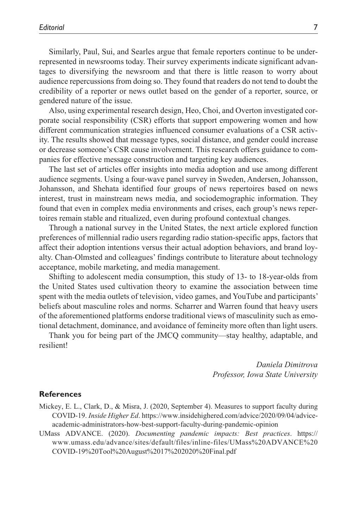Similarly, Paul, Sui, and Searles argue that female reporters continue to be underrepresented in newsrooms today. Their survey experiments indicate significant advantages to diversifying the newsroom and that there is little reason to worry about audience repercussions from doing so. They found that readers do not tend to doubt the credibility of a reporter or news outlet based on the gender of a reporter, source, or gendered nature of the issue.

Also, using experimental research design, Heo, Choi, and Overton investigated corporate social responsibility (CSR) efforts that support empowering women and how different communication strategies influenced consumer evaluations of a CSR activity. The results showed that message types, social distance, and gender could increase or decrease someone's CSR cause involvement. This research offers guidance to companies for effective message construction and targeting key audiences.

The last set of articles offer insights into media adoption and use among different audience segments. Using a four-wave panel survey in Sweden, Andersen, Johansson, Johansson, and Shehata identified four groups of news repertoires based on news interest, trust in mainstream news media, and sociodemographic information. They found that even in complex media environments and crises, each group's news repertoires remain stable and ritualized, even during profound contextual changes.

Through a national survey in the United States, the next article explored function preferences of millennial radio users regarding radio station-specific apps, factors that affect their adoption intentions versus their actual adoption behaviors, and brand loyalty. Chan-Olmsted and colleagues' findings contribute to literature about technology acceptance, mobile marketing, and media management.

Shifting to adolescent media consumption, this study of 13- to 18-year-olds from the United States used cultivation theory to examine the association between time spent with the media outlets of television, video games, and YouTube and participants' beliefs about masculine roles and norms. Scharrer and Warren found that heavy users of the aforementioned platforms endorse traditional views of masculinity such as emotional detachment, dominance, and avoidance of femineity more often than light users.

Thank you for being part of the JMCQ community—stay healthy, adaptable, and resilient!

> *Daniela Dimitrova Professor, Iowa State University*

## **References**

- Mickey, E. L., Clark, D., & Misra, J. (2020, September 4). Measures to support faculty during COVID-19. *Inside Higher Ed*. [https://www.insidehighered.com/advice/2020/09/04/advice](https://www.insidehighered.com/advice/2020/09/04/advice-academic-administrators-how-best-support-faculty-during-pandemic-opinion)[academic-administrators-how-best-support-faculty-during-pandemic-opinion](https://www.insidehighered.com/advice/2020/09/04/advice-academic-administrators-how-best-support-faculty-during-pandemic-opinion)
- UMass ADVANCE. (2020). *Documenting pandemic impacts: Best practices*. [https://](https://www.umass.edu/advance/sites/default/files/inline-files/UMass%20ADVANCE%20COVID-19%20Tool%20August%2017%202020%20Final.pdf) [www.umass.edu/advance/sites/default/files/inline-files/UMass%20ADVANCE%20](https://www.umass.edu/advance/sites/default/files/inline-files/UMass%20ADVANCE%20COVID-19%20Tool%20August%2017%202020%20Final.pdf) [COVID-19%20Tool%20August%2017%202020%20Final.pdf](https://www.umass.edu/advance/sites/default/files/inline-files/UMass%20ADVANCE%20COVID-19%20Tool%20August%2017%202020%20Final.pdf)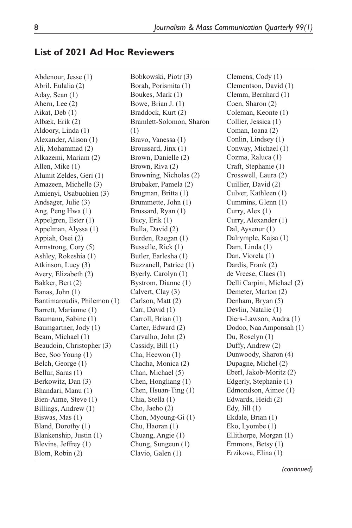the control of the control of the control of

## **List of 2021 Ad Hoc Reviewers**

| Abdenour, Jesse (1)         | Bobkowski, Piotr (3)     | Clemens, Cody (1)          |
|-----------------------------|--------------------------|----------------------------|
| Abril, Eulalia (2)          | Borah, Porismita (1)     | Clementson, David (1)      |
| Aday, Sean (1)              | Boukes, Mark (1)         | Clemm, Bernhard (1)        |
| Ahern, Lee (2)              | Bowe, Brian J. (1)       | Coen, Sharon (2)           |
| Aikat, Deb (1)              | Braddock, Kurt (2)       | Coleman, Keonte (1)        |
| Albæk, Erik (2)             | Bramlett-Solomon, Sharon | Collier, Jessica (1)       |
| Aldoory, Linda (1)          | (1)                      | Coman, Ioana (2)           |
| Alexander, Alison (1)       | Bravo, Vanessa (1)       | Conlin, Lindsey (1)        |
| Ali, Mohammad (2)           | Broussard, Jinx (1)      | Conway, Michael (1)        |
| Alkazemi, Mariam (2)        | Brown, Danielle (2)      | Cozma, Raluca (1)          |
| Allen, Mike (1)             | Brown, Riva (2)          | Craft, Stephanie (1)       |
| Alumit Zeldes, Geri (1)     | Browning, Nicholas (2)   | Crosswell, Laura (2)       |
| Amazeen, Michelle (3)       | Brubaker, Pamela (2)     | Cuillier, David (2)        |
| Amienyi, Osabuohien (3)     | Brugman, Britta (1)      | Culver, Kathleen (1)       |
| Andsager, Julie (3)         | Brummette, John (1)      | Cummins, Glenn (1)         |
| Ang, Peng Hwa (1)           | Brussard, Ryan (1)       | Curry, Alex (1)            |
| Appelgren, Ester (1)        | Bucy, Erik (1)           | Curry, Alexander (1)       |
| Appelman, Alyssa (1)        | Bulla, David (2)         | Dal, Aysenur (1)           |
| Appiah, Osei (2)            | Burden, Raegan (1)       | Dalrymple, Kajsa (1)       |
| Armstrong, Cory (5)         | Busselle, Rick (1)       | Dam, Linda (1)             |
| Ashley, Rokeshia (1)        | Butler, Earlesha (1)     | Dan, Viorela (1)           |
| Atkinson, Lucy (3)          | Buzzanell, Patrice (1)   | Dardis, Frank (2)          |
| Avery, Elizabeth (2)        | Byerly, Carolyn (1)      | de Vreese, Claes (1)       |
|                             |                          |                            |
| Bakker, Bert (2)            | Bystrom, Dianne (1)      | Delli Carpini, Michael (2) |
| Banas, John (1)             | Calvert, Clay (3)        | Demeter, Marton (2)        |
| Bantimaroudis, Philemon (1) | Carlson, Matt (2)        | Denham, Bryan (5)          |
| Barrett, Marianne (1)       | Carr, David (1)          | Devlin, Natalie (1)        |
| Baumann, Sabine (1)         | Carroll, Brian (1)       | Diers-Lawson, Audra (1)    |
| Baumgartner, Jody (1)       | Carter, Edward (2)       | Dodoo, Naa Amponsah (1)    |
| Beam, Michael (1)           | Carvalho, John (2)       | Du, Roselyn (1)            |
| Beaudoin, Christopher (3)   | Cassidy, Bill (1)        | Duffy, Andrew (2)          |
| Bee, Soo Young (1)          | Cha, Heewon (1)          | Dunwoody, Sharon (4)       |
| Belch, George (1)           | Chadha, Monica (2)       | Dupagne, Michel (2)        |
| Bellur, Saras (1)           | Chan, Michael (5)        | Eberl, Jakob-Moritz (2)    |
| Berkowitz, Dan (3)          | Chen, Hongliang (1)      | Edgerly, Stephanie (1)     |
| Bhandari, Manu (1)          | Chen, Hsuan-Ting (1)     | Edmondson, Aimee (1)       |
| Bien-Aime, Steve (1)        | Chia, Stella (1)         | Edwards, Heidi (2)         |
| Billings, Andrew (1)        | Cho, Jaeho (2)           | Edy, Jill $(1)$            |
| Biswas, Mas (1)             | Chon, Myoung-Gi (1)      | Ekdale, Brian (1)          |
| Bland, Dorothy (1)          | Chu, Haoran (1)          | Eko, Lyombe (1)            |
| Blankenship, Justin (1)     | Chuang, Angie (1)        | Ellithorpe, Morgan (1)     |
| Blevins, Jeffrey (1)        | Chung, Sungeun (1)       | Emmons, Betsy (1)          |
| Blom, Robin (2)             | Clavio, Galen (1)        | Erzikova, Elina (1)        |

*(continued)*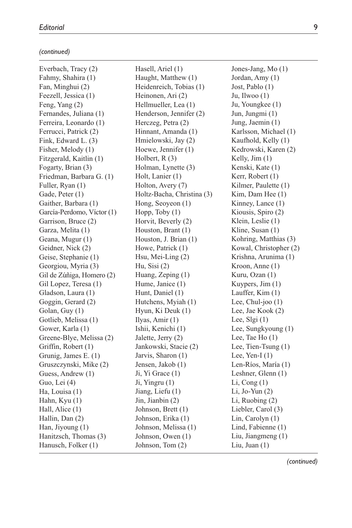*(continued)*

Everbach, Tracy (2) Fahmy, Shahira (1) Fan, Minghui (2) Feezell, Jessica (1) Feng, Yang (2) Fernandes, Juliana (1) Ferreira, Leonardo (1) Ferrucci, Patrick (2) Fink, Edward L. (3) Fisher, Melody (1) Fitzgerald, Kaitlin (1) Fogarty, Brian (3) Friedman, Barbara G. (1) Fuller, Ryan (1) Gade, Peter (1) Gaither, Barbara (1) García-Perdomo, Víctor (1) Garrison, Bruce (2) Garza, Melita (1) Geana, Mugur (1) Geidner, Nick (2) Geise, Stephanie (1) Georgiou, Myria (3) Gil de Zúñiga, Homero (2) Gil Lopez, Teresa (1) Gladson, Laura (1) Goggin, Gerard (2) Golan, Guy (1) Gotlieb, Melissa (1) Gower, Karla (1) Greene-Blye, Melissa (2) Griffin, Robert (1) Grunig, James E. (1) Gruszczynski, Mike (2) Guess, Andrew (1) Guo, Lei (4) Ha, Louisa (1) Hahn, Kyu (1) Hall, Alice (1) Hallin, Dan (2) Han, Jiyoung (1) Hanitzsch, Thomas (3) Hanusch, Folker (1)

Hasell, Ariel (1) Haught, Matthew (1) Heidenreich, Tobias (1) Heinonen, Ari (2) Hellmueller, Lea (1) Henderson, Jennifer (2) Herczeg, Petra (2) Hinnant, Amanda (1) Hmielowski, Jay (2) Hoewe, Jennifer (1) Holbert, R (3) Holman, Lynette (3) Holt, Lanier (1) Holton, Avery (7) Holtz-Bacha, Christina (3) Hong, Seoyeon (1) Hopp, Toby (1) Horvit, Beverly (2) Houston, Brant (1) Houston, J. Brian (1) Howe, Patrick (1) Hsu, Mei-Ling (2) Hu, Sisi (2) Huang, Zeping (1) Hume, Janice (1) Hunt, Daniel (1) Hutchens, Myiah (1) Hyun, Ki Deuk (1) Ilyas, Amir (1) Ishii, Kenichi (1) Jalette, Jerry (2) Jankowski, Stacie (2) Jarvis, Sharon (1) Jensen, Jakob (1) Ji, Yi Grace (1) Ji, Yingru (1) Jiang, Liefu (1) Jin, Jianbin (2) Johnson, Brett (1) Johnson, Erika (1) Johnson, Melissa (1) Johnson, Owen (1) Johnson, Tom (2)

Jones-Jang, Mo (1) Jordan, Amy (1) Jost, Pablo (1) Ju, Ilwoo (1) Ju, Youngkee (1) Jun, Jungmi (1) Jung, Jaemin (1) Karlsson, Michael (1) Kaufhold, Kelly (1) Kedrowski, Karen (2) Kelly, Jim (1) Kenski, Kate (1) Kerr, Robert (1) Kilmer, Paulette (1) Kim, Dam Hee (1) Kinney, Lance (1) Kiousis, Spiro (2) Klein, Leslie (1) Kline, Susan (1) Kohring, Matthias (3) Kowal, Christopher (2) Krishna, Arunima (1) Kroon, Anne (1) Kuru, Ozan (1) Kuypers, Jim (1) Lauffer, Kim (1) Lee, Chul-joo (1) Lee, Jae Kook (2) Lee, Slgi (1) Lee, Sungkyoung (1) Lee, Tae Ho (1) Lee, Tien-Tsung (1) Lee, Yen-I $(1)$ Len-Ríos, María (1) Leshner, Glenn (1) Li, Cong (1) Li, Jo-Yun (2) Li, Ruobing (2) Liebler, Carol (3) Lin, Carolyn (1) Lind, Fabienne (1) Liu, Jiangmeng (1) Liu, Juan (1)

*(continued)*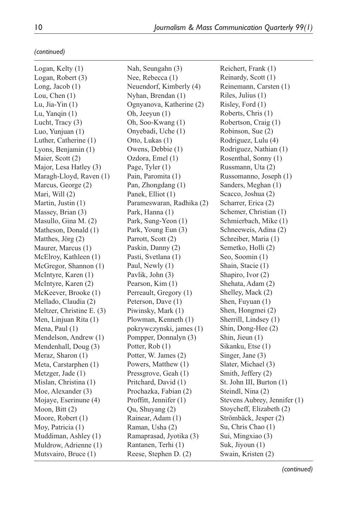*(continued)*

| Logan, Kelty (1)          | Nah, Seungahn (3)         |
|---------------------------|---------------------------|
| Logan, Robert (3)         | Nee, Rebecca (1)          |
| Long, Jacob (1)           | Neuendorf, Kimberly (4)   |
| Lou, Chen (1)             | Nyhan, Brendan (1)        |
| Lu, Jia-Yin (1)           | Ognyanova, Katherine (2)  |
| Lu, Yanqin (1)            | Oh, Jeeyun (1)            |
| Lucht, Tracy (3)          | Oh, Soo-Kwang (1)         |
| Luo, Yunjuan (1)          | Onyebadi, Uche (1)        |
| Luther, Catherine (1)     | Otto, Lukas (1)           |
| Lyons, Benjamin (1)       | Owens, Debbie (1)         |
| Maier, Scott (2)          | Ozdora, Emel (1)          |
| Major, Lesa Hatley (3)    | Page, Tyler (1)           |
| Maragh-Lloyd, Raven (1)   | Pain, Paromita (1)        |
| Marcus, George (2)        | Pan, Zhongdang (1)        |
| Mari, Will (2)            | Panek, Elliot (1)         |
| Martin, Justin (1)        | Parameswaran, Radhika (2) |
| Massey, Brian (3)         | Park, Hanna (1)           |
| Masullo, Gina M. (2)      | Park, Sung-Yeon (1)       |
| Matheson, Donald (1)      | Park, Young Eun (3)       |
| Matthes, Jörg (2)         | Parrott, Scott (2)        |
| Maurer, Marcus (1)        | Paskin, Danny (2)         |
| McElroy, Kathleen (1)     | Pasti, Svetlana (1)       |
| McGregor, Shannon (1)     | Paul, Newly (1)           |
| McIntyre, Karen (1)       | Pavlik, John (3)          |
| McIntyre, Karen (2)       | Pearson, Kim (1)          |
| McKeever, Brooke (1)      | Perreault, Gregory (1)    |
| Mellado, Claudia (2)      | Peterson, Dave (1)        |
| Meltzer, Christine E. (3) | Piwinsky, Mark (1)        |
| Men, Linjuan Rita (1)     | Plowman, Kenneth (1)      |
| Mena, Paul (1)            | pokrywczynski, james (1)  |
| Mendelson, Andrew (1)     | Pompper, Donnalyn (3)     |
| Mendenhall, Doug (3)      | Potter, Rob (1)           |
| Meraz, Sharon (1)         | Potter, W. James (2)      |
| Meta, Carstarphen (1)     | Powers, Matthew (1)       |
| Metzger, Jade (1)         | Pressgrove, Geah (1)      |
| Mislan, Christina (1)     | Pritchard, David (1)      |
| Moe, Alexander (3)        | Prochazka, Fabian (2)     |
| Mojaye, Eserinune (4)     | Proffitt, Jennifer (1)    |
| Moon, Bitt (2)            | Qu, Shuyang (2)           |
| Moore, Robert (1)         | Rainear, Adam (1)         |
| Moy, Patricia (1)         | Raman, Usha (2)           |
| Muddiman, Ashley (1)      | Ramaprasad, Jyotika (3)   |
| Muldrow, Adrienne (1)     | Rantanen, Terhi (1)       |
| Mutsvairo, Bruce (1)      | Reese, Stephen D. (2)     |

Reichert, Frank (1) Reinardy, Scott (1) Reinemann, Carsten (1) Riles, Julius (1) Risley, Ford (1) Roberts, Chris (1) Robertson, Craig (1) Robinson, Sue (2) Rodriguez, Lulu (4) Rodriguez, Nathian (1) Rosenthal, Sonny (1) Russmann, Uta (2) Russomanno, Joseph (1) Sanders, Meghan (1) Scacco, Joshua (2) Scharrer, Erica (2) Schemer, Christian (1) Schmierbach, Mike (1) Schneeweis, Adina (2) Schreiber, Maria (1) Semetko, Holli (2) Seo, Soomin (1) Shain, Stacie (1) Shapiro, Ivor (2) Shehata, Adam (2) Shelley, Mack (2) Shen, Fuyuan (1) Shen, Hongmei (2) Sherrill, Lindsey (1) Shin, Dong-Hee (2) Shin, Jieun (1) Sikanku, Etse (1) Singer, Jane (3) Slater, Michael (3) Smith, Jeffery (2) St. John III, Burton (1) Steindl, Nina (2) Stevens Aubrey, Jennifer (1) Stoycheff, Elizabeth (2) Strömbäck, Jesper (2) Su, Chris Chao (1) Sui, Mingxiao (3) Suk, Jiyoun (1) Swain, Kristen (2)

*(continued)*